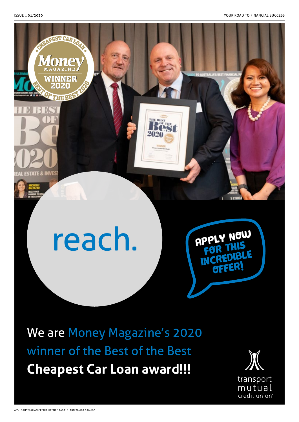

# reach.



We are Money Magazine's 2020 winner of the Best of the Best **Cheapest Car Loan award!!!**

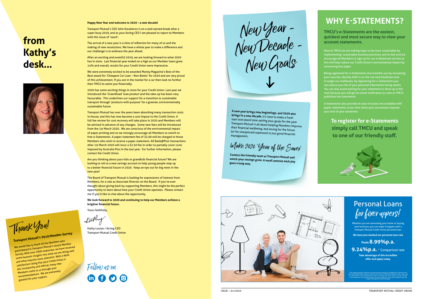## **from Kathy's desk...**



#### **Happy New Year and welcome to 2020 – a new decade!**

Transport Mutual's CEO John Kavalieros is on a well earned break after a super busy 2019, and as your Acting CEO I am pleased to report to Members with this issue of 'reach'.

The arrival of a new year is a time of reflection for many of us and the making of new resolutions. We have a whole year to make a difference and our challenge is to embrace the year ahead.

After an exciting and eventful 2019, we are looking forward to what 2020 has in store. Last financial year ended on a high as our Member loans grew 14% and overall, results for your Credit Union were impressive.

We were extremely excited to be awarded Money Magazine's Best of the Best award for 'Cheapest Car Loan – Non-Banks' for 2020 and are very proud of this achievement. If you are in the market for a car then look no further than TMCU to assist you financially.

2020 has some exciting things in store for your Credit Union. Last year we introduced the 'GreenRoad' loan product and the take-up has been very favourable. This underlines our support for a transition to sustainable transport through 'products with purpose' for a greener, environmentally sustainable future.

Transport Mutual has over the years been absorbing many transaction costs in-house, and this has now become a cost impost to the Credit Union. A full fee review for cost recovery will take place in 2020 and Members will be advised in advance of any changes. Some new fees will be introduced from the 1st March 2020. We are conscious of the environmental impact of paper printing and so we strongly encourage all Members to switch to free e-Statements. A paper statement fee of \$2.00 will be charged to those Members who wish to receive a paper statement. All Bank@Post transactions after 1st March 2020 will incur a \$2.50 fee in order to partially cover costs imposed by Australia Post in the last year. For further information, please contact the Credit Union.

Are you thinking about your kids or grandkids financial future? We are looking to roll at a new savings account to help young people step up to a better financial future in 2020. Keep an eye out for big news in the new year!

Follow us on in 000

The Board of Transport Mutual is looking for expressions of interest from Members, for a role as Associate Director on the Board. If you've ever thought about giving back by supporting Members, this might be the perfect opportunity to learn about how your Credit Union operates. Please contact me if you'd like to chat about the opportunity.

**We look forward to 2020 and continuing to help our Members achieve a brighter financial future.**

Yours faithfully

fathy

Kathy Loutas / Acting CEO **Transport Mutual Credit Union** 

**TMCU's e-Statements are the easiest, quickest and most secure way to view your account statements.**

Here at TMCU we are making steps to be more sustainable by implementing sustainable business practices, and to that end we encourage all Members to sign up for our e-Statement service as this will help reduce our Credit Union's environmental impact by consuming less paper.

Being registered for e-Statements also benefits you by increasing your security. Identity theft is on the rise and fraudsters love to target our mailboxes, by registering for e-Statements you can reduce you risk of your personal information being stolen. You can also avoid waiting for your statement to show up in the mail because you will get an email notification as soon as TMCU publishes the statements.

e-Statements also provide an ease of access not available with paper statements, at tax time when your accountant requires your end of year statement.

**To register for e-Statements simply call TMCU and speak to one of our friendly staff.**



## **WHY E-STATEMENTS?**

## Thank You!

**Transport Mutual's 2019 Member Survey** We would like to thank all the Members who participated in Transport Mutual's recent Member Purse put of the interest of the survey of the survey of the purse received some fantastic insights into what we are doing well and what requires more attention. With a 99% satisfaction rating that your Credit Union is fair, trustworthy and ethical, many new Members come to us through your recommendations. We are extremely grateful for your support.

New Year - New Decade - New Goals

**A new year brings new beginnings, and 2020 also brings in a new decade.** It's time to make a fresh start and spend time setting your goals for the year. Transport Mutual is all about helping Members improve their financial wellbeing, and saving for the future (or for unexpected expenses) is just good financial management.

Make 2020 'Year of the Saver'

**Contact the friendly team at Transport Mutual and watch your savings grow. A small amount each pay goes a long way.**



Whether you are renovating your home or buying new furniture, you can make it happen with a Transport Mutual Credit Union personal loan.

**We have just slashed our personal loan rate**

#### **from 8.99%p.a. 9.24%p.a.** \* Comparison rate

**Take advantage of this incredible offer and apply today.** 

## Personal Loans for fixer uppers!

\*The comparison rate is based on an unsecured loan amount of \$30,000 over a loan term of 5 years. Warning: Different amounts and terms will result in different comparison rates. Costs such as redraw fees or early repayment fees and cost savings such as fee waivers, are not included in the comparison rate but may influence the cost of the loan. Terms and conditions, fees and charges and approval conditions apply.